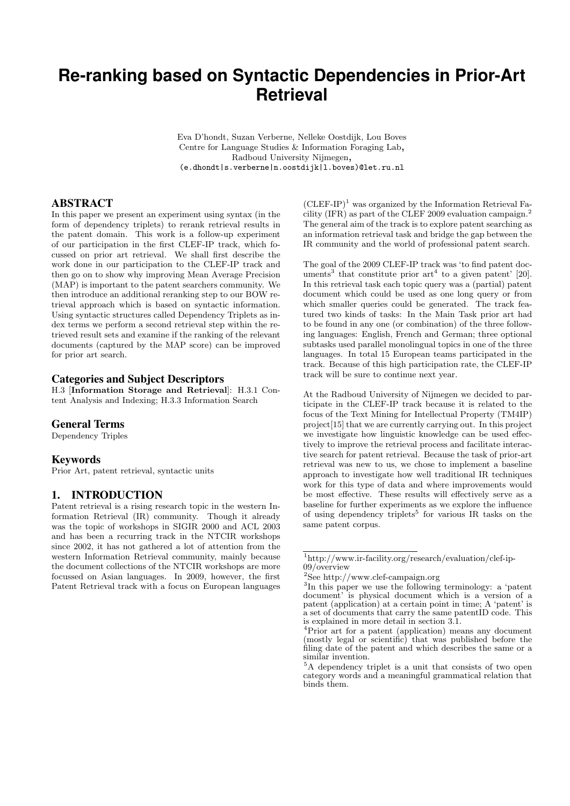# **Re-ranking based on Syntactic Dependencies in Prior-Art Retrieval**

Eva D'hondt, Suzan Verberne, Nelleke Oostdijk, Lou Boves Centre for Language Studies & Information Foraging Lab, Radboud University Nijmegen, (e.dhondt|s.verberne|n.oostdijk|l.boves)@let.ru.nl

## ABSTRACT

In this paper we present an experiment using syntax (in the form of dependency triplets) to rerank retrieval results in the patent domain. This work is a follow-up experiment of our participation in the first CLEF-IP track, which focussed on prior art retrieval. We shall first describe the work done in our participation to the CLEF-IP track and then go on to show why improving Mean Average Precision (MAP) is important to the patent searchers community. We then introduce an additional reranking step to our BOW retrieval approach which is based on syntactic information. Using syntactic structures called Dependency Triplets as index terms we perform a second retrieval step within the retrieved result sets and examine if the ranking of the relevant documents (captured by the MAP score) can be improved for prior art search.

## Categories and Subject Descriptors

H.3 [Information Storage and Retrieval]: H.3.1 Content Analysis and Indexing; H.3.3 Information Search

#### General Terms

Dependency Triples

#### Keywords

Prior Art, patent retrieval, syntactic units

#### 1. INTRODUCTION

Patent retrieval is a rising research topic in the western Information Retrieval (IR) community. Though it already was the topic of workshops in SIGIR 2000 and ACL 2003 and has been a recurring track in the NTCIR workshops since 2002, it has not gathered a lot of attention from the western Information Retrieval community, mainly because the document collections of the NTCIR workshops are more focussed on Asian languages. In 2009, however, the first Patent Retrieval track with a focus on European languages

 $(CLEF-IP)^1$  was organized by the Information Retrieval Facility (IFR) as part of the CLEF 2009 evaluation campaign.<sup>2</sup> The general aim of the track is to explore patent searching as an information retrieval task and bridge the gap between the IR community and the world of professional patent search.

The goal of the 2009 CLEF-IP track was 'to find patent documents<sup>3</sup> that constitute prior  $art^4$  to a given patent' [20]. In this retrieval task each topic query was a (partial) patent document which could be used as one long query or from which smaller queries could be generated. The track featured two kinds of tasks: In the Main Task prior art had to be found in any one (or combination) of the three following languages: English, French and German; three optional subtasks used parallel monolingual topics in one of the three languages. In total 15 European teams participated in the track. Because of this high participation rate, the CLEF-IP track will be sure to continue next year.

At the Radboud University of Nijmegen we decided to participate in the CLEF-IP track because it is related to the focus of the Text Mining for Intellectual Property (TM4IP) project[15] that we are currently carrying out. In this project we investigate how linguistic knowledge can be used effectively to improve the retrieval process and facilitate interactive search for patent retrieval. Because the task of prior-art retrieval was new to us, we chose to implement a baseline approach to investigate how well traditional IR techniques work for this type of data and where improvements would be most effective. These results will effectively serve as a baseline for further experiments as we explore the influence of using dependency triplets<sup>5</sup> for various IR tasks on the same patent corpus.

 $^1$ http://www.ir-facility.org/research/evaluation/clef-ip-09/overview

<sup>2</sup>See http://www.clef-campaign.org

<sup>3</sup> In this paper we use the following terminology: a 'patent document' is physical document which is a version of a patent (application) at a certain point in time; A 'patent' is a set of documents that carry the same patentID code. This is explained in more detail in section 3.1.

<sup>4</sup>Prior art for a patent (application) means any document (mostly legal or scientific) that was published before the filing date of the patent and which describes the same or a similar invention.

<sup>5</sup>A dependency triplet is a unit that consists of two open category words and a meaningful grammatical relation that binds them.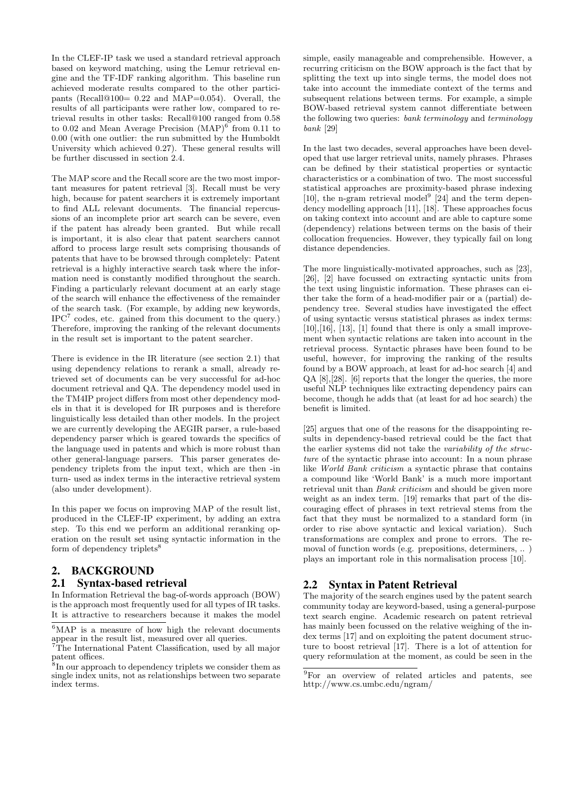In the CLEF-IP task we used a standard retrieval approach based on keyword matching, using the Lemur retrieval engine and the TF-IDF ranking algorithm. This baseline run achieved moderate results compared to the other participants (Recall@100= 0.22 and MAP=0.054). Overall, the results of all participants were rather low, compared to retrieval results in other tasks: Recall@100 ranged from 0.58 to 0.02 and Mean Average Precision (MAP)<sup>6</sup> from 0.11 to 0.00 (with one outlier: the run submitted by the Humboldt University which achieved 0.27). These general results will be further discussed in section 2.4.

The MAP score and the Recall score are the two most important measures for patent retrieval [3]. Recall must be very high, because for patent searchers it is extremely important to find ALL relevant documents. The financial repercussions of an incomplete prior art search can be severe, even if the patent has already been granted. But while recall is important, it is also clear that patent searchers cannot afford to process large result sets comprising thousands of patents that have to be browsed through completely: Patent retrieval is a highly interactive search task where the information need is constantly modified throughout the search. Finding a particularly relevant document at an early stage of the search will enhance the effectiveness of the remainder of the search task. (For example, by adding new keywords, IPC<sup>7</sup> codes, etc. gained from this document to the query.) Therefore, improving the ranking of the relevant documents in the result set is important to the patent searcher.

There is evidence in the IR literature (see section 2.1) that using dependency relations to rerank a small, already retrieved set of documents can be very successful for ad-hoc document retrieval and QA. The dependency model used in the TM4IP project differs from most other dependency models in that it is developed for IR purposes and is therefore linguistically less detailed than other models. In the project we are currently developing the AEGIR parser, a rule-based dependency parser which is geared towards the specifics of the language used in patents and which is more robust than other general-language parsers. This parser generates dependency triplets from the input text, which are then -in turn- used as index terms in the interactive retrieval system (also under development).

In this paper we focus on improving MAP of the result list, produced in the CLEF-IP experiment, by adding an extra step. To this end we perform an additional reranking operation on the result set using syntactic information in the form of dependency triplets $\mathrm{8}$ 

# 2. BACKGROUND

## 2.1 Syntax-based retrieval

In Information Retrieval the bag-of-words approach (BOW) is the approach most frequently used for all types of IR tasks. It is attractive to researchers because it makes the model simple, easily manageable and comprehensible. However, a recurring criticism on the BOW approach is the fact that by splitting the text up into single terms, the model does not take into account the immediate context of the terms and subsequent relations between terms. For example, a simple BOW-based retrieval system cannot differentiate between the following two queries: bank terminology and terminology bank [29]

In the last two decades, several approaches have been developed that use larger retrieval units, namely phrases. Phrases can be defined by their statistical properties or syntactic characteristics or a combination of two. The most successful statistical approaches are proximity-based phrase indexing [10], the n-gram retrieval model<sup>9</sup> [24] and the term dependency modelling approach [11], [18]. These approaches focus on taking context into account and are able to capture some (dependency) relations between terms on the basis of their collocation frequencies. However, they typically fail on long distance dependencies.

The more linguistically-motivated approaches, such as [23], [26], [2] have focussed on extracting syntactic units from the text using linguistic information. These phrases can either take the form of a head-modifier pair or a (partial) dependency tree. Several studies have investigated the effect of using syntactic versus statistical phrases as index terms:  $[10],[16], [13], [1]$  found that there is only a small improvement when syntactic relations are taken into account in the retrieval process. Syntactic phrases have been found to be useful, however, for improving the ranking of the results found by a BOW approach, at least for ad-hoc search [4] and QA [8],[28]. [6] reports that the longer the queries, the more useful NLP techniques like extracting dependency pairs can become, though he adds that (at least for ad hoc search) the benefit is limited.

[25] argues that one of the reasons for the disappointing results in dependency-based retrieval could be the fact that the earlier systems did not take the variability of the structure of the syntactic phrase into account: In a noun phrase like World Bank criticism a syntactic phrase that contains a compound like 'World Bank' is a much more important retrieval unit than Bank criticism and should be given more weight as an index term. [19] remarks that part of the discouraging effect of phrases in text retrieval stems from the fact that they must be normalized to a standard form (in order to rise above syntactic and lexical variation). Such transformations are complex and prone to errors. The removal of function words (e.g. prepositions, determiners, .. ) plays an important role in this normalisation process [10].

# 2.2 Syntax in Patent Retrieval

The majority of the search engines used by the patent search community today are keyword-based, using a general-purpose text search engine. Academic research on patent retrieval has mainly been focussed on the relative weighing of the index terms [17] and on exploiting the patent document structure to boost retrieval [17]. There is a lot of attention for query reformulation at the moment, as could be seen in the

 $\sqrt[6]{MAP}$  is a measure of how high the relevant documents appear in the result list, measured over all queries.

<sup>7</sup>The International Patent Classification, used by all major patent offices.

<sup>8</sup> In our approach to dependency triplets we consider them as single index units, not as relationships between two separate index terms.

<sup>9</sup>For an overview of related articles and patents, see http://www.cs.umbc.edu/ngram/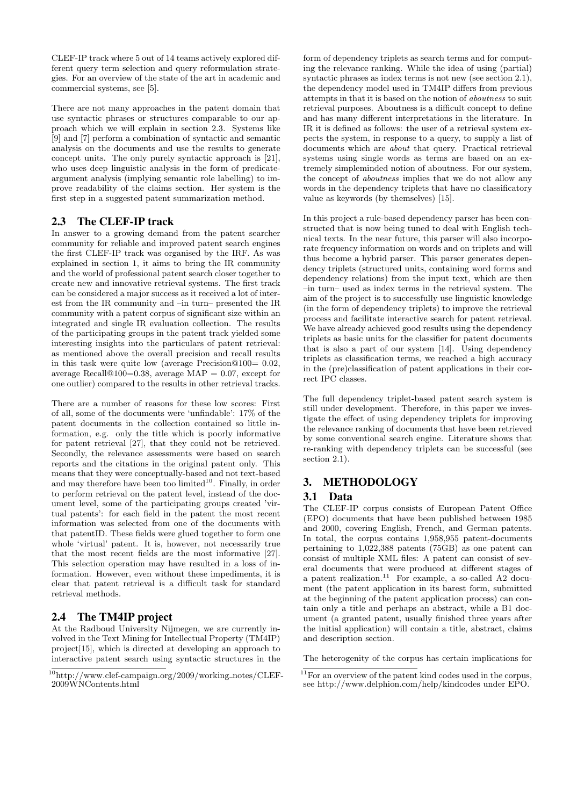CLEF-IP track where 5 out of 14 teams actively explored different query term selection and query reformulation strategies. For an overview of the state of the art in academic and commercial systems, see [5].

There are not many approaches in the patent domain that use syntactic phrases or structures comparable to our approach which we will explain in section 2.3. Systems like [9] and [7] perform a combination of syntactic and semantic analysis on the documents and use the results to generate concept units. The only purely syntactic approach is [21], who uses deep linguistic analysis in the form of predicateargument analysis (implying semantic role labelling) to improve readability of the claims section. Her system is the first step in a suggested patent summarization method.

# 2.3 The CLEF-IP track

In answer to a growing demand from the patent searcher community for reliable and improved patent search engines the first CLEF-IP track was organised by the IRF. As was explained in section 1, it aims to bring the IR community and the world of professional patent search closer together to create new and innovative retrieval systems. The first track can be considered a major success as it received a lot of interest from the IR community and –in turn– presented the IR community with a patent corpus of significant size within an integrated and single IR evaluation collection. The results of the participating groups in the patent track yielded some interesting insights into the particulars of patent retrieval: as mentioned above the overall precision and recall results in this task were quite low (average Precision $@100=0.02$ , average Recall@100=0.38, average MAP = 0.07, except for one outlier) compared to the results in other retrieval tracks.

There are a number of reasons for these low scores: First of all, some of the documents were 'unfindable': 17% of the patent documents in the collection contained so little information, e.g. only the title which is poorly informative for patent retrieval [27], that they could not be retrieved. Secondly, the relevance assessments were based on search reports and the citations in the original patent only. This means that they were conceptually-based and not text-based and may therefore have been too limited $10$ . Finally, in order to perform retrieval on the patent level, instead of the document level, some of the participating groups created 'virtual patents': for each field in the patent the most recent information was selected from one of the documents with that patentID. These fields were glued together to form one whole 'virtual' patent. It is, however, not necessarily true that the most recent fields are the most informative [27]. This selection operation may have resulted in a loss of information. However, even without these impediments, it is clear that patent retrieval is a difficult task for standard retrieval methods.

# 2.4 The TM4IP project

At the Radboud University Nijmegen, we are currently involved in the Text Mining for Intellectual Property (TM4IP) project[15], which is directed at developing an approach to interactive patent search using syntactic structures in the

form of dependency triplets as search terms and for computing the relevance ranking. While the idea of using (partial) syntactic phrases as index terms is not new (see section 2.1), the dependency model used in TM4IP differs from previous attempts in that it is based on the notion of aboutness to suit retrieval purposes. Aboutness is a difficult concept to define and has many different interpretations in the literature. In IR it is defined as follows: the user of a retrieval system expects the system, in response to a query, to supply a list of documents which are about that query. Practical retrieval systems using single words as terms are based on an extremely simpleminded notion of aboutness. For our system, the concept of aboutness implies that we do not allow any words in the dependency triplets that have no classificatory value as keywords (by themselves) [15].

In this project a rule-based dependency parser has been constructed that is now being tuned to deal with English technical texts. In the near future, this parser will also incorporate frequency information on words and on triplets and will thus become a hybrid parser. This parser generates dependency triplets (structured units, containing word forms and dependency relations) from the input text, which are then –in turn– used as index terms in the retrieval system. The aim of the project is to successfully use linguistic knowledge (in the form of dependency triplets) to improve the retrieval process and facilitate interactive search for patent retrieval. We have already achieved good results using the dependency triplets as basic units for the classifier for patent documents that is also a part of our system [14]. Using dependency triplets as classification terms, we reached a high accuracy in the (pre)classification of patent applications in their correct IPC classes.

The full dependency triplet-based patent search system is still under development. Therefore, in this paper we investigate the effect of using dependency triplets for improving the relevance ranking of documents that have been retrieved by some conventional search engine. Literature shows that re-ranking with dependency triplets can be successful (see section 2.1).

## 3. METHODOLOGY

## 3.1 Data

The CLEF-IP corpus consists of European Patent Office (EPO) documents that have been published between 1985 and 2000, covering English, French, and German patents. In total, the corpus contains 1,958,955 patent-documents pertaining to 1,022,388 patents (75GB) as one patent can consist of multiple XML files: A patent can consist of several documents that were produced at different stages of a patent realization.<sup>11</sup> For example, a so-called A2 document (the patent application in its barest form, submitted at the beginning of the patent application process) can contain only a title and perhaps an abstract, while a B1 document (a granted patent, usually finished three years after the initial application) will contain a title, abstract, claims and description section.

The heterogenity of the corpus has certain implications for

 $^{10}$ http://www.clef-campaign.org/2009/working\_notes/CLEF-2009WNContents.html

<sup>&</sup>lt;sup>11</sup>For an overview of the patent kind codes used in the corpus, see http://www.delphion.com/help/kindcodes under EPO.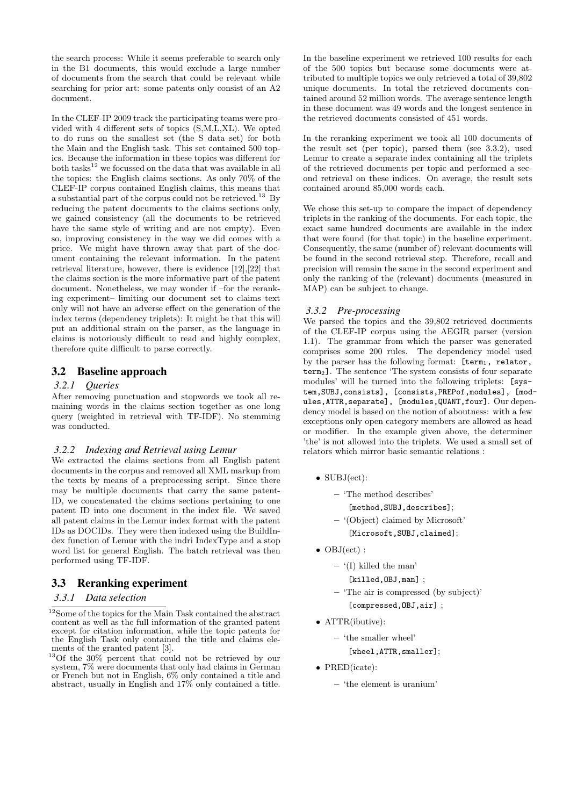the search process: While it seems preferable to search only in the B1 documents, this would exclude a large number of documents from the search that could be relevant while searching for prior art: some patents only consist of an A2 document.

In the CLEF-IP 2009 track the participating teams were provided with 4 different sets of topics (S,M,L,XL). We opted to do runs on the smallest set (the S data set) for both the Main and the English task. This set contained 500 topics. Because the information in these topics was different for both tasks<sup>12</sup> we focussed on the data that was available in all the topics: the English claims sections. As only 70% of the CLEF-IP corpus contained English claims, this means that a substantial part of the corpus could not be retrieved.<sup>13</sup> By reducing the patent documents to the claims sections only, we gained consistency (all the documents to be retrieved have the same style of writing and are not empty). Even so, improving consistency in the way we did comes with a price. We might have thrown away that part of the document containing the relevant information. In the patent retrieval literature, however, there is evidence [12],[22] that the claims section is the more informative part of the patent document. Nonetheless, we may wonder if –for the reranking experiment– limiting our document set to claims text only will not have an adverse effect on the generation of the index terms (dependency triplets): It might be that this will put an additional strain on the parser, as the language in claims is notoriously difficult to read and highly complex, therefore quite difficult to parse correctly.

# 3.2 Baseline approach

#### *3.2.1 Queries*

After removing punctuation and stopwords we took all remaining words in the claims section together as one long query (weighted in retrieval with TF-IDF). No stemming was conducted.

#### *3.2.2 Indexing and Retrieval using Lemur*

We extracted the claims sections from all English patent documents in the corpus and removed all XML markup from the texts by means of a preprocessing script. Since there may be multiple documents that carry the same patent-ID, we concatenated the claims sections pertaining to one patent ID into one document in the index file. We saved all patent claims in the Lemur index format with the patent IDs as DOCIDs. They were then indexed using the BuildIndex function of Lemur with the indri IndexType and a stop word list for general English. The batch retrieval was then performed using TF-IDF.

## 3.3 Reranking experiment

## *3.3.1 Data selection*

In the baseline experiment we retrieved 100 results for each of the 500 topics but because some documents were attributed to multiple topics we only retrieved a total of 39,802 unique documents. In total the retrieved documents contained around 52 million words. The average sentence length in these document was 49 words and the longest sentence in the retrieved documents consisted of 451 words.

In the reranking experiment we took all 100 documents of the result set (per topic), parsed them (see 3.3.2), used Lemur to create a separate index containing all the triplets of the retrieved documents per topic and performed a second retrieval on these indices. On average, the result sets contained around 85,000 words each.

We chose this set-up to compare the impact of dependency triplets in the ranking of the documents. For each topic, the exact same hundred documents are available in the index that were found (for that topic) in the baseline experiment. Consequently, the same (number of) relevant documents will be found in the second retrieval step. Therefore, recall and precision will remain the same in the second experiment and only the ranking of the (relevant) documents (measured in MAP) can be subject to change.

#### *3.3.2 Pre-processing*

We parsed the topics and the 39,802 retrieved documents of the CLEF-IP corpus using the AEGIR parser (version 1.1). The grammar from which the parser was generated comprises some 200 rules. The dependency model used by the parser has the following format:  $[term<sub>1</sub>,$  relator, term2]. The sentence 'The system consists of four separate modules' will be turned into the following triplets: [system,SUBJ,consists], [consists,PREPof,modules], [modules,ATTR,separate], [modules,QUANT,four]. Our dependency model is based on the notion of aboutness: with a few exceptions only open category members are allowed as head or modifier. In the example given above, the determiner 'the' is not allowed into the triplets. We used a small set of relators which mirror basic semantic relations :

- SUBJ(ect):
	- 'The method describes'
		- [method, SUBJ, describes];
	- '(Object) claimed by Microsoft'
		- [Microsoft,SUBJ,claimed];
- OBJ(ect) :
	- $-$  '(I) killed the man'
		- [killed, OBJ, man] ;
	- 'The air is compressed (by subject)' [compressed.OBJ.air] :
- ATTR(ibutive):
	- 'the smaller wheel' [wheel, ATTR, smaller];
- PRED(icate):
	- 'the element is uranium'

 $\sqrt[12]{12}$ Some of the topics for the Main Task contained the abstract content as well as the full information of the granted patent except for citation information, while the topic patents for the English Task only contained the title and claims elements of the granted patent [3].

<sup>&</sup>lt;sup>13</sup>Of the 30% percent that could not be retrieved by our system, 7% were documents that only had claims in German or French but not in English, 6% only contained a title and abstract, usually in English and 17% only contained a title.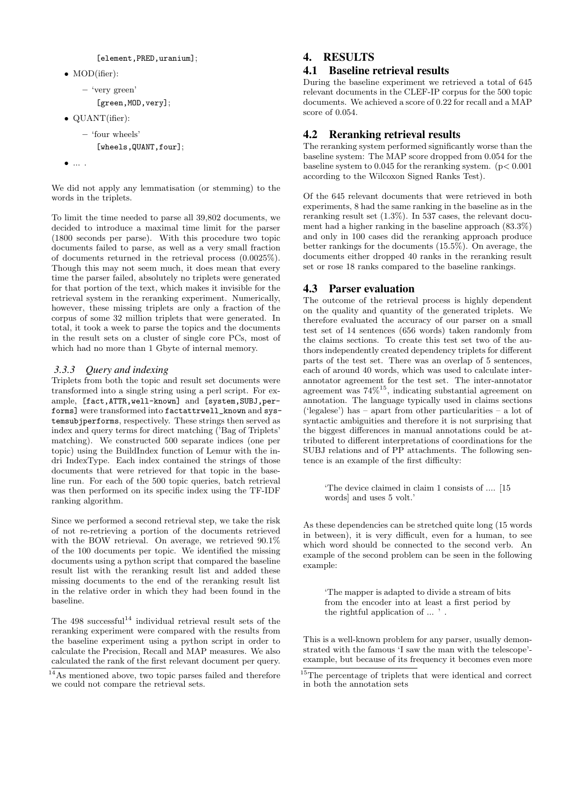```
[element, PRED, uranium];
```
• MOD(ifier):

```
– 'very green'
```
[green, MOD, very];

- QUANT(ifier):
	- 'four wheels'
		- [wheels, QUANT, four];
- ... .

We did not apply any lemmatisation (or stemming) to the words in the triplets.

To limit the time needed to parse all 39,802 documents, we decided to introduce a maximal time limit for the parser (1800 seconds per parse). With this procedure two topic documents failed to parse, as well as a very small fraction of documents returned in the retrieval process (0.0025%). Though this may not seem much, it does mean that every time the parser failed, absolutely no triplets were generated for that portion of the text, which makes it invisible for the retrieval system in the reranking experiment. Numerically, however, these missing triplets are only a fraction of the corpus of some 32 million triplets that were generated. In total, it took a week to parse the topics and the documents in the result sets on a cluster of single core PCs, most of which had no more than 1 Gbyte of internal memory.

## *3.3.3 Query and indexing*

Triplets from both the topic and result set documents were transformed into a single string using a perl script. For example, [fact,ATTR,well-known] and [system,SUBJ,performs] were transformed into factattrwell\_known and systemsubjperforms, respectively. These strings then served as index and query terms for direct matching ('Bag of Triplets' matching). We constructed 500 separate indices (one per topic) using the BuildIndex function of Lemur with the indri IndexType. Each index contained the strings of those documents that were retrieved for that topic in the baseline run. For each of the 500 topic queries, batch retrieval was then performed on its specific index using the TF-IDF ranking algorithm.

Since we performed a second retrieval step, we take the risk of not re-retrieving a portion of the documents retrieved with the BOW retrieval. On average, we retrieved 90.1% of the 100 documents per topic. We identified the missing documents using a python script that compared the baseline result list with the reranking result list and added these missing documents to the end of the reranking result list in the relative order in which they had been found in the baseline.

The  $498$  successful<sup>14</sup> individual retrieval result sets of the reranking experiment were compared with the results from the baseline experiment using a python script in order to calculate the Precision, Recall and MAP measures. We also calculated the rank of the first relevant document per query.

# 4. RESULTS

# 4.1 Baseline retrieval results

During the baseline experiment we retrieved a total of 645 relevant documents in the CLEF-IP corpus for the 500 topic documents. We achieved a score of 0.22 for recall and a MAP score of 0.054.

# 4.2 Reranking retrieval results

The reranking system performed significantly worse than the baseline system: The MAP score dropped from 0.054 for the baseline system to  $0.045$  for the reranking system. ( $p < 0.001$ ) according to the Wilcoxon Signed Ranks Test).

Of the 645 relevant documents that were retrieved in both experiments, 8 had the same ranking in the baseline as in the reranking result set (1.3%). In 537 cases, the relevant document had a higher ranking in the baseline approach (83.3%) and only in 100 cases did the reranking approach produce better rankings for the documents (15.5%). On average, the documents either dropped 40 ranks in the reranking result set or rose 18 ranks compared to the baseline rankings.

# 4.3 Parser evaluation

The outcome of the retrieval process is highly dependent on the quality and quantity of the generated triplets. We therefore evaluated the accuracy of our parser on a small test set of 14 sentences (656 words) taken randomly from the claims sections. To create this test set two of the authors independently created dependency triplets for different parts of the test set. There was an overlap of 5 sentences, each of around 40 words, which was used to calculate interannotator agreement for the test set. The inter-annotator agreement was 74%<sup>15</sup>, indicating substantial agreement on annotation. The language typically used in claims sections ('legalese') has – apart from other particularities – a lot of syntactic ambiguities and therefore it is not surprising that the biggest differences in manual annotations could be attributed to different interpretations of coordinations for the SUBJ relations and of PP attachments. The following sentence is an example of the first difficulty:

'The device claimed in claim 1 consists of .... [15 words] and uses 5 volt.'

As these dependencies can be stretched quite long (15 words in between), it is very difficult, even for a human, to see which word should be connected to the second verb. An example of the second problem can be seen in the following example:

'The mapper is adapted to divide a stream of bits from the encoder into at least a first period by the rightful application of ... ' .

This is a well-known problem for any parser, usually demonstrated with the famous 'I saw the man with the telescope' example, but because of its frequency it becomes even more

<sup>&</sup>lt;sup>14</sup>As mentioned above, two topic parses failed and therefore we could not compare the retrieval sets.

<sup>15</sup>The percentage of triplets that were identical and correct in both the annotation sets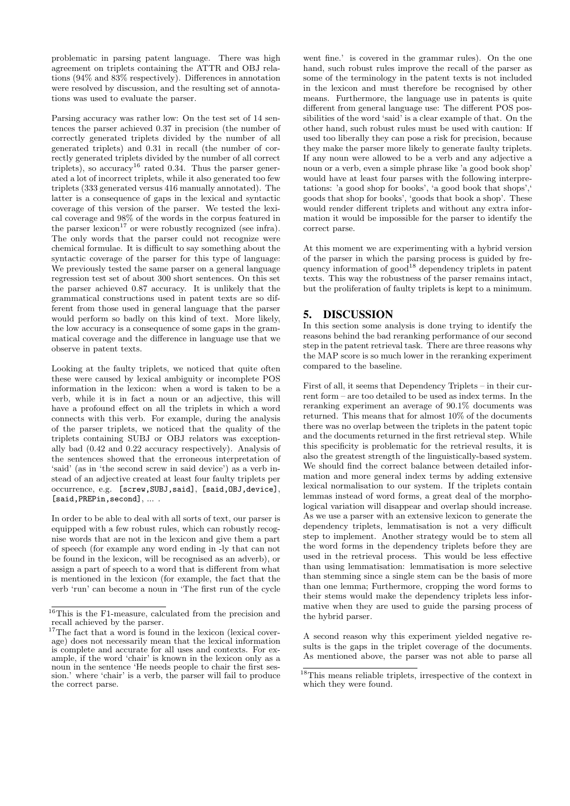problematic in parsing patent language. There was high agreement on triplets containing the ATTR and OBJ relations (94% and 83% respectively). Differences in annotation were resolved by discussion, and the resulting set of annotations was used to evaluate the parser.

Parsing accuracy was rather low: On the test set of 14 sentences the parser achieved 0.37 in precision (the number of correctly generated triplets divided by the number of all generated triplets) and 0.31 in recall (the number of correctly generated triplets divided by the number of all correct triplets), so accuracy<sup>16</sup> rated 0.34. Thus the parser generated a lot of incorrect triplets, while it also generated too few triplets (333 generated versus 416 manually annotated). The latter is a consequence of gaps in the lexical and syntactic coverage of this version of the parser. We tested the lexical coverage and 98% of the words in the corpus featured in the parser lexicon<sup>17</sup> or were robustly recognized (see infra). The only words that the parser could not recognize were chemical formulae. It is difficult to say something about the syntactic coverage of the parser for this type of language: We previously tested the same parser on a general language regression test set of about 300 short sentences. On this set the parser achieved 0.87 accuracy. It is unlikely that the grammatical constructions used in patent texts are so different from those used in general language that the parser would perform so badly on this kind of text. More likely, the low accuracy is a consequence of some gaps in the grammatical coverage and the difference in language use that we observe in patent texts.

Looking at the faulty triplets, we noticed that quite often these were caused by lexical ambiguity or incomplete POS information in the lexicon: when a word is taken to be a verb, while it is in fact a noun or an adjective, this will have a profound effect on all the triplets in which a word connects with this verb. For example, during the analysis of the parser triplets, we noticed that the quality of the triplets containing SUBJ or OBJ relators was exceptionally bad (0.42 and 0.22 accuracy respectively). Analysis of the sentences showed that the erroneous interpretation of 'said' (as in 'the second screw in said device') as a verb instead of an adjective created at least four faulty triplets per occurrence, e.g. [screw,SUBJ,said], [said,OBJ,device], [said, PREPin, second], ....

In order to be able to deal with all sorts of text, our parser is equipped with a few robust rules, which can robustly recognise words that are not in the lexicon and give them a part of speech (for example any word ending in -ly that can not be found in the lexicon, will be recognised as an adverb), or assign a part of speech to a word that is different from what is mentioned in the lexicon (for example, the fact that the verb 'run' can become a noun in 'The first run of the cycle

went fine.' is covered in the grammar rules). On the one hand, such robust rules improve the recall of the parser as some of the terminology in the patent texts is not included in the lexicon and must therefore be recognised by other means. Furthermore, the language use in patents is quite different from general language use: The different POS possibilities of the word 'said' is a clear example of that. On the other hand, such robust rules must be used with caution: If used too liberally they can pose a risk for precision, because they make the parser more likely to generate faulty triplets. If any noun were allowed to be a verb and any adjective a noun or a verb, even a simple phrase like 'a good book shop' would have at least four parses with the following interpretations: 'a good shop for books', 'a good book that shops', goods that shop for books', 'goods that book a shop'. These would render different triplets and without any extra information it would be impossible for the parser to identify the correct parse.

At this moment we are experimenting with a hybrid version of the parser in which the parsing process is guided by frequency information of  $\gcd^{18}$  dependency triplets in patent texts. This way the robustness of the parser remains intact, but the proliferation of faulty triplets is kept to a minimum.

# 5. DISCUSSION

In this section some analysis is done trying to identify the reasons behind the bad reranking performance of our second step in the patent retrieval task. There are three reasons why the MAP score is so much lower in the reranking experiment compared to the baseline.

First of all, it seems that Dependency Triplets – in their current form – are too detailed to be used as index terms. In the reranking experiment an average of 90.1% documents was returned. This means that for almost 10% of the documents there was no overlap between the triplets in the patent topic and the documents returned in the first retrieval step. While this specificity is problematic for the retrieval results, it is also the greatest strength of the linguistically-based system. We should find the correct balance between detailed information and more general index terms by adding extensive lexical normalisation to our system. If the triplets contain lemmas instead of word forms, a great deal of the morphological variation will disappear and overlap should increase. As we use a parser with an extensive lexicon to generate the dependency triplets, lemmatisation is not a very difficult step to implement. Another strategy would be to stem all the word forms in the dependency triplets before they are used in the retrieval process. This would be less effective than using lemmatisation: lemmatisation is more selective than stemming since a single stem can be the basis of more than one lemma; Furthermore, cropping the word forms to their stems would make the dependency triplets less informative when they are used to guide the parsing process of the hybrid parser.

A second reason why this experiment yielded negative results is the gaps in the triplet coverage of the documents. As mentioned above, the parser was not able to parse all

 $\sqrt[16]{16}$ This is the F1-measure, calculated from the precision and recall achieved by the parser.

<sup>&</sup>lt;sup>17</sup>The fact that a word is found in the lexicon (lexical coverage) does not necessarily mean that the lexical information is complete and accurate for all uses and contexts. For example, if the word 'chair' is known in the lexicon only as a noun in the sentence 'He needs people to chair the first session.' where 'chair' is a verb, the parser will fail to produce the correct parse.

<sup>18</sup>This means reliable triplets, irrespective of the context in which they were found.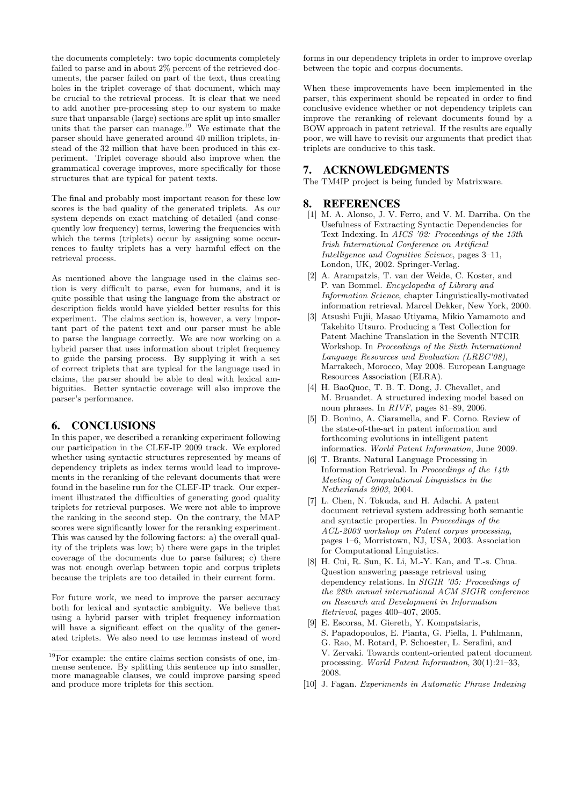the documents completely: two topic documents completely failed to parse and in about 2% percent of the retrieved documents, the parser failed on part of the text, thus creating holes in the triplet coverage of that document, which may be crucial to the retrieval process. It is clear that we need to add another pre-processing step to our system to make sure that unparsable (large) sections are split up into smaller units that the parser can manage.<sup>19</sup> We estimate that the parser should have generated around 40 million triplets, instead of the 32 million that have been produced in this experiment. Triplet coverage should also improve when the grammatical coverage improves, more specifically for those structures that are typical for patent texts.

The final and probably most important reason for these low scores is the bad quality of the generated triplets. As our system depends on exact matching of detailed (and consequently low frequency) terms, lowering the frequencies with which the terms (triplets) occur by assigning some occurrences to faulty triplets has a very harmful effect on the retrieval process.

As mentioned above the language used in the claims section is very difficult to parse, even for humans, and it is quite possible that using the language from the abstract or description fields would have yielded better results for this experiment. The claims section is, however, a very important part of the patent text and our parser must be able to parse the language correctly. We are now working on a hybrid parser that uses information about triplet frequency to guide the parsing process. By supplying it with a set of correct triplets that are typical for the language used in claims, the parser should be able to deal with lexical ambiguities. Better syntactic coverage will also improve the parser's performance.

## 6. CONCLUSIONS

In this paper, we described a reranking experiment following our participation in the CLEF-IP 2009 track. We explored whether using syntactic structures represented by means of dependency triplets as index terms would lead to improvements in the reranking of the relevant documents that were found in the baseline run for the CLEF-IP track. Our experiment illustrated the difficulties of generating good quality triplets for retrieval purposes. We were not able to improve the ranking in the second step. On the contrary, the MAP scores were significantly lower for the reranking experiment. This was caused by the following factors: a) the overall quality of the triplets was low; b) there were gaps in the triplet coverage of the documents due to parse failures; c) there was not enough overlap between topic and corpus triplets because the triplets are too detailed in their current form.

For future work, we need to improve the parser accuracy both for lexical and syntactic ambiguity. We believe that using a hybrid parser with triplet frequency information will have a significant effect on the quality of the generated triplets. We also need to use lemmas instead of word

forms in our dependency triplets in order to improve overlap between the topic and corpus documents.

When these improvements have been implemented in the parser, this experiment should be repeated in order to find conclusive evidence whether or not dependency triplets can improve the reranking of relevant documents found by a BOW approach in patent retrieval. If the results are equally poor, we will have to revisit our arguments that predict that triplets are conducive to this task.

### 7. ACKNOWLEDGMENTS

The TM4IP project is being funded by Matrixware.

#### 8. REFERENCES

- [1] M. A. Alonso, J. V. Ferro, and V. M. Darriba. On the Usefulness of Extracting Syntactic Dependencies for Text Indexing. In AICS '02: Proceedings of the 13th Irish International Conference on Artificial Intelligence and Cognitive Science, pages 3–11, London, UK, 2002. Springer-Verlag.
- [2] A. Arampatzis, T. van der Weide, C. Koster, and P. van Bommel. Encyclopedia of Library and Information Science, chapter Linguistically-motivated information retrieval. Marcel Dekker, New York, 2000.
- [3] Atsushi Fujii, Masao Utiyama, Mikio Yamamoto and Takehito Utsuro. Producing a Test Collection for Patent Machine Translation in the Seventh NTCIR Workshop. In Proceedings of the Sixth International Language Resources and Evaluation (LREC'08), Marrakech, Morocco, May 2008. European Language Resources Association (ELRA).
- [4] H. BaoQuoc, T. B. T. Dong, J. Chevallet, and M. Bruandet. A structured indexing model based on noun phrases. In RIVF, pages 81–89, 2006.
- [5] D. Bonino, A. Ciaramella, and F. Corno. Review of the state-of-the-art in patent information and forthcoming evolutions in intelligent patent informatics. World Patent Information, June 2009.
- [6] T. Brants. Natural Language Processing in Information Retrieval. In Proceedings of the 14th Meeting of Computational Linguistics in the Netherlands 2003, 2004.
- [7] L. Chen, N. Tokuda, and H. Adachi. A patent document retrieval system addressing both semantic and syntactic properties. In Proceedings of the ACL-2003 workshop on Patent corpus processing, pages 1–6, Morristown, NJ, USA, 2003. Association for Computational Linguistics.
- [8] H. Cui, R. Sun, K. Li, M.-Y. Kan, and T.-s. Chua. Question answering passage retrieval using dependency relations. In SIGIR '05: Proceedings of the 28th annual international ACM SIGIR conference on Research and Development in Information Retrieval, pages 400–407, 2005.
- [9] E. Escorsa, M. Giereth, Y. Kompatsiaris, S. Papadopoulos, E. Pianta, G. Piella, I. Puhlmann, G. Rao, M. Rotard, P. Schoester, L. Serafini, and V. Zervaki. Towards content-oriented patent document processing. World Patent Information, 30(1):21–33, 2008.
- [10] J. Fagan. Experiments in Automatic Phrase Indexing

<sup>19</sup>For example: the entire claims section consists of one, immense sentence. By splitting this sentence up into smaller, more manageable clauses, we could improve parsing speed and produce more triplets for this section.